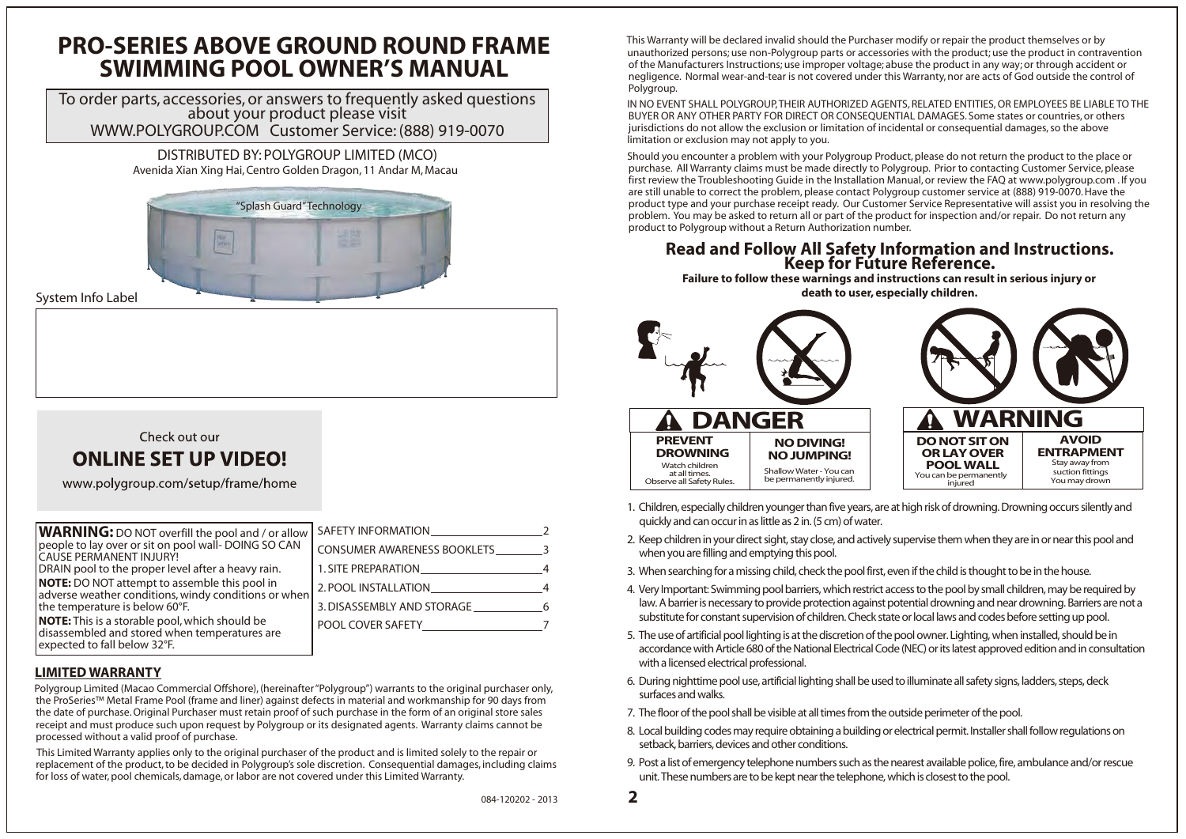**WARNING:** DO NOT overfill the pool and / or allow people to lay over or sit on pool wall- DOING SO CAN CAUSE PERMANENT INJURY! DRAIN pool to the proper level after a heavy rain. **NOTE:** DO NOT attempt to assemble this pool in adverse weather conditions, windy conditions or when the temperature is below 60°F. **NOTE:** This is a storable pool, which should be disassembled and stored when temperatures are expected to fall below 32°F.

System Info Label

### Check out our

## **ONLINE SET UP VIDEO!**

www.polygroup.com/setup/frame/home



# **Read and Follow All Safety Information and Instructions. Keep for Future Reference.**

**Failure to follow these warnings and instructions can result in serious injury or death to user, especially children.**

**2**





- 1. Children, especially children younger than five years, are at high risk of drowning. Drowning occurs silently and quickly and can occur in as little as 2 in. (5 cm) of water.
- 2. Keep children in your direct sight, stay close, and actively supervise them when they are in or near this pool and when you are filling and emptying this pool.
- 3. When searching for a missing child, check the pool first, even if the child is thought to be in the house.
- 4. Very Important: Swimming pool barriers, which restrict access to the pool by small children, may be required by law. A barrier is necessary to provide protection against potential drowning and near drowning. Barriers are not a substitute for constant supervision of children. Check state or local laws and codes before setting up pool.
- 5. The use of artificial pool lighting is at the discretion of the pool owner. Lighting, when installed, should be in accordance with Article 680 of the National Electrical Code (NEC) or its latest approved edition and in consultation with a licensed electrical professional.
- 6. During nighttime pool use, artificial lighting shall be used to illuminate all safety signs, ladders, steps, deck surfaces and walks.
- 7. The floor of the pool shall be visible at all times from the outside perimeter of the pool.
- 8. Local building codes may require obtaining a building or electrical permit. Installer shall follow regulations on setback, barriers, devices and other conditions.
- 9. Post a list of emergency telephone numbers such as the nearest available police, fire, ambulance and/or rescue unit. These numbers are to be kept near the telephone, which is closest to the pool.

 Polygroup Limited (Macao Commercial Offshore), (hereinafter "Polygroup") warrants to the original purchaser only, the ProSeries™ Metal Frame Pool (frame and liner) against defects in material and workmanship for 90 days from the date of purchase. Original Purchaser must retain proof of such purchase in the form of an original store sales receipt and must produce such upon request by Polygroup or its designated agents. Warranty claims cannot be processed without a valid proof of purchase.

 This Limited Warranty applies only to the original purchaser of the product and is limited solely to the repair or replacement of the product, to be decided in Polygroup's sole discretion. Consequential damages, including claims for loss of water, pool chemicals, damage, or labor are not covered under this Limited Warranty.

 This Warranty will be declared invalid should the Purchaser modify or repair the product themselves or by unauthorized persons; use non-Polygroup parts or accessories with the product; use the product in contravention of the Manufacturers Instructions; use improper voltage; abuse the product in any way; or through accident or negligence. Normal wear-and-tear is not covered under this Warranty, nor are acts of God outside the control of Polygroup.

 IN NO EVENT SHALL POLYGROUP, THEIR AUTHORIZED AGENTS, RELATED ENTITIES, OR EMPLOYEES BE LIABLE TO THE BUYER OR ANY OTHER PARTY FOR DIRECT OR CONSEQUENTIAL DAMAGES. Some states or countries, or others jurisdictions do not allow the exclusion or limitation of incidental or consequential damages, so the above limitation or exclusion may not apply to you.

 Should you encounter a problem with your Polygroup Product, please do not return the product to the place or purchase. All Warranty claims must be made directly to Polygroup. Prior to contacting Customer Service, please first review the Troubleshooting Guide in the Installation Manual, or review the FAQ at www.polygroup.com . If you are still unable to correct the problem, please contact Polygroup customer service at (888) 919-0070. Have the product type and your purchase receipt ready. Our Customer Service Representative will assist you in resolving the problem. You may be asked to return all or part of the product for inspection and/or repair. Do not return any product to Polygroup without a Return Authorization number.

### **LIMITED WARRANTY**

## **PRO-SERIES ABOVE GROUND ROUND FRAME SWIMMING POOL OWNER'S MANUAL**

To order parts, accessories, or answers to frequently asked questions about your product please visit WWW.POLYGROUP.COM Customer Service: (888) 919-0070

> DISTRIBUTED BY: POLYGROUP LIMITED (MCO) Avenida Xian Xing Hai, Centro Golden Dragon, 11 Andar M, Macau

| CONSUMER AWARENESS BOOKLETS | ्र |
|-----------------------------|----|
|                             |    |
| 2. POOL INSTALLATION        |    |
| 3. DISASSEMBLY AND STORAGE  |    |
| POOL COVER SAFETY           |    |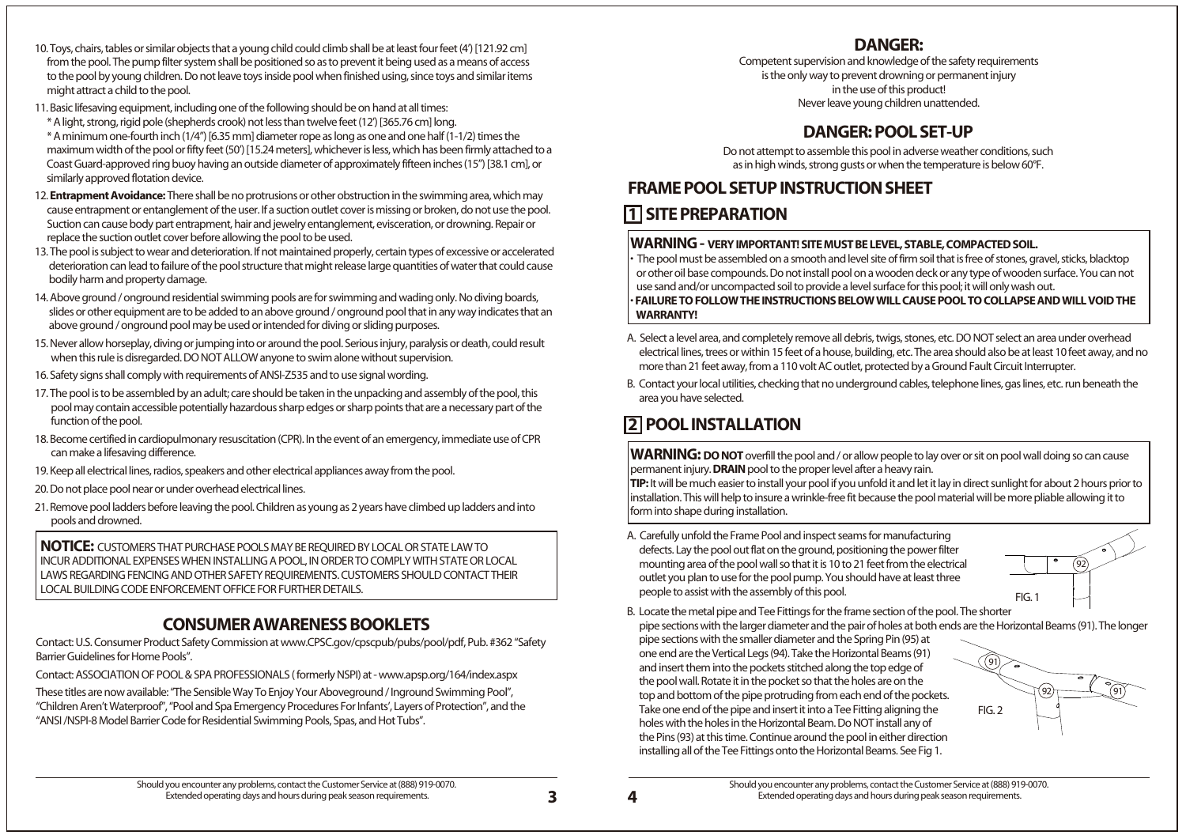- 10. Toys, chairs, tables or similar objects that a young child could climb shall be at least four feet (4') [121.92 cm] from the pool. The pump filter system shall be positioned so as to prevent it being used as a means of access to the pool by young children. Do not leave toys inside pool when finished using, since toys and similar items might attract a child to the pool.
- 11. Basic lifesaving equipment, including one of the following should be on hand at all times: \* A light, strong, rigid pole (shepherds crook) not less than twelve feet (12') [365.76 cm] long.

 \* A minimum one-fourth inch (1/4") [6.35 mm] diameter rope as long as one and one half (1-1/2) times the maximum width of the pool or fifty feet (50') [15.24 meters], whichever is less, which has been firmly attached to a Coast Guard-approved ring buoy having an outside diameter of approximately fifteen inches (15") [38.1 cm], or similarly approved flotation device.

- A. Carefully unfold the Frame Pool and inspect seams for manufacturing defects. Lay the pool out flat on the ground, positioning the power filter mounting area of the pool wall so that it is 10 to 21 feet from the electrical outlet you plan to use for the pool pump. You should have at least three people to assist with the assembly of this pool. B. Locate the metal pipe and Tee Fittings for the frame section of the pool. The shorter pipe sections with the larger diameter and the pair of holes at both ends are the Horizontal Beams (91). The longer pipe sections with the smaller diameter and the Spring Pin (95) at one end are the Vertical Legs (94). Take the Horizontal Beams (91) and insert them into the pockets stitched along the top edge of the pool wall. Rotate it in the pocket so that the holes are on the top and bottom of the pipe protruding from each end of the pockets. Take one end of the pipe and insert it into a Tee Fitting aligning the holes with the holes in the Horizontal Beam. Do NOT install any of the Pins (93) at this time. Continue around the pool in either direction installing all of the Tee Fittings onto the Horizontal Beams. See Fig 1. **WARNING: DO NOT** overfill the pool and / or allow people to lay over or sit on pool wall doing so can cause permanent injury. **DRAIN** pool to the proper level after a heavy rain. **TIP:** It will be much easier to install your pool if you unfold it and let it lay in direct sunlight for about 2 hours prior to installation. This will help to insure a wrinkle-free fit because the pool material will be more pliable allowing it to form into shape during installation. FIG. 1 92 FIG. 2  $(91)$  $\frac{92}{1}$  (91
- 
- 12. **Entrapment Avoidance:** There shall be no protrusions or other obstruction in the swimming area, which may cause entrapment or entanglement of the user. If a suction outlet cover is missing or broken, do not use the pool. Suction can cause body part entrapment, hair and jewelry entanglement, evisceration, or drowning. Repair or replace the suction outlet cover before allowing the pool to be used.
- 13. The pool is subject to wear and deterioration. If not maintained properly, certain types of excessive or accelerated deterioration can lead to failure of the pool structure that might release large quantities of water that could cause bodily harm and property damage.
- 14. Above ground / onground residential swimming pools are for swimming and wading only. No diving boards, slides or other equipment are to be added to an above ground / onground pool that in any way indicates that an above ground / onground pool may be used or intended for diving or sliding purposes.
- 15. Never allow horseplay, diving or jumping into or around the pool. Serious injury, paralysis or death, could result when this rule is disregarded. DO NOT ALLOW anyone to swim alone without supervision.
- 16. Safety signs shall comply with requirements of ANSI-Z535 and to use signal wording.
- 17. The pool is to be assembled by an adult; care should be taken in the unpacking and assembly of the pool, this pool may contain accessible potentially hazardous sharp edges or sharp points that are a necessary part of the function of the pool.
- 18. Become certified in cardiopulmonary resuscitation (CPR). In the event of an emergency, immediate use of CPR can make a lifesaving difference.
- 19. Keep all electrical lines, radios, speakers and other electrical appliances away from the pool.
- 20. Do not place pool near or under overhead electrical lines.
- 21. Remove pool ladders before leaving the pool. Children as young as 2 years have climbed up ladders and into pools and drowned.
- A. Select a level area, and completely remove all debris, twigs, stones, etc. DO NOT select an area under overhead electrical lines, trees or within 15 feet of a house, building, etc. The area should also be at least 10 feet away, and no more than 21 feet away, from a 110 volt AC outlet, protected by a Ground Fault Circuit Interrupter.
- B. Contact your local utilities, checking that no underground cables, telephone lines, gas lines, etc. run beneath the area you have selected.

Contact: U.S. Consumer Product Safety Commission at www.CPSC.gov/cpscpub/pubs/pool/pdf, Pub. #362 "Safety Barrier Guidelines for Home Pools".

Contact: ASSOCIATION OF POOL & SPA PROFESSIONALS ( formerly NSPI) at - www.apsp.org/164/index.aspx

These titles are now available: "The Sensible Way To Enjoy Your Aboveground / Inground Swimming Pool", "Children Aren't Waterproof", "Pool and Spa Emergency Procedures For Infants', Layers of Protection", and the "ANSI /NSPI-8 Model Barrier Code for Residential Swimming Pools, Spas, and Hot Tubs".

Competent supervision and knowledge of the safety requirements is the only way to prevent drowning or permanent injury in the use of this product! Never leave young children unattended.

**NOTICE:** CUSTOMERS THAT PURCHASE POOLS MAY BE REQUIRED BY LOCAL OR STATE LAW TO INCUR ADDITIONAL EXPENSES WHEN INSTALLING A POOL, IN ORDER TO COMPLY WITH STATE OR LOCAL LAWS REGARDING FENCING AND OTHER SAFETY REQUIREMENTS. CUSTOMERS SHOULD CONTACT THEIR LOCAL BUILDING CODE ENFORCEMENT OFFICE FOR FURTHER DETAILS.

## **CONSUMER AWARENESS BOOKLETS**

## **DANGER:**

Do not attempt to assemble this pool in adverse weather conditions, such as in high winds, strong gusts or when the temperature is below 60°F.

## **DANGER: POOL SET-UP**

- 
- 
- 

- 
- 

**WARNING - VERY IMPORTANT! SITE MUST BE LEVEL, STABLE, COMPACTED SOIL.** • The pool must be assembled on a smooth and level site of firm soil that is free of stones, gravel, sticks, blacktop or other oil base compounds. Do not install pool on a wooden deck or any type of wooden surface. You can not use sand and/or uncompacted soil to provide a level surface for this pool; it will only wash out. • **FAILURE TO FOLLOW THE INSTRUCTIONS BELOW WILL CAUSE POOL TO COLLAPSE AND WILL VOID THE WARRANTY!**

## **FRAME POOL SETUP INSTRUCTION SHEET 1 SITE PREPARATION**

## **2 POOL INSTALLATION**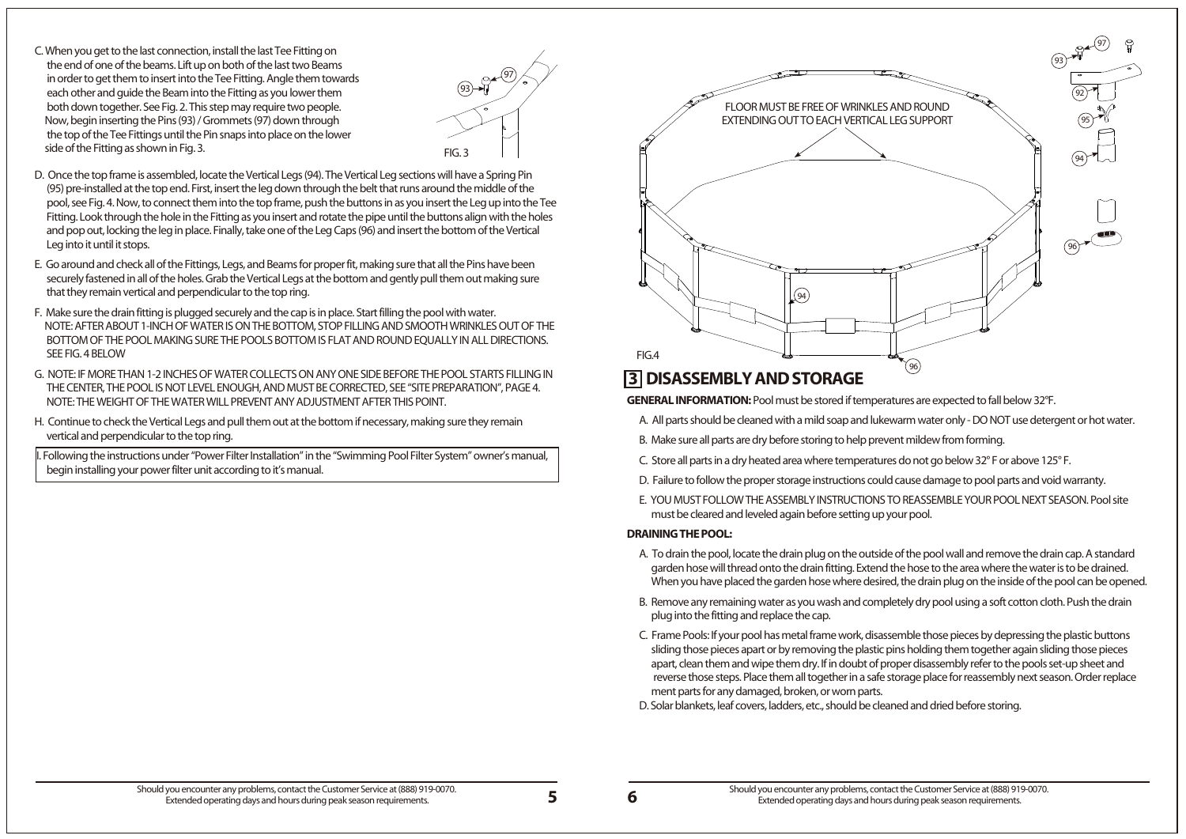**5 6**

**GENERAL INFORMATION:** Pool must be stored if temperatures are expected to fall below 32°F.

- A. All parts should be cleaned with a mild soap and lukewarm water only DO NOT use detergent or hot water.
- B. Make sure all parts are dry before storing to help prevent mildew from forming.
- C. Store all parts in a dry heated area where temperatures do not go below 32° F or above 125° F.
- D. Failure to follow the proper storage instructions could cause damage to pool parts and void warranty.
- E. YOU MUST FOLLOW THE ASSEMBLY INSTRUCTIONS TO REASSEMBLE YOUR POOL NEXT SEASON. Pool site must be cleared and leveled again before setting up your pool.

### **DRAINING THE POOL:**

- A. To drain the pool, locate the drain plug on the outside of the pool wall and remove the drain cap. A standard garden hose will thread onto the drain fitting. Extend the hose to the area where the water is to be drained.
- B. Remove any remaining water as you wash and completely dry pool using a soft cotton cloth. Push the drain plug into the fitting and replace the cap.
- C. Frame Pools: If your pool has metal frame work, disassemble those pieces by depressing the plastic buttons sliding those pieces apart or by removing the plastic pins holding them together again sliding those pieces apart, clean them and wipe them dry. If in doubt of proper disassembly refer to the pools set-up sheet and reverse those steps. Place them all together in a safe storage place for reassembly next season. Order replace ment parts for any damaged, broken, or worn parts. D. Solar blankets, leaf covers, ladders, etc., should be cleaned and dried before storing.

C. When you get to the last connection, install the last Tee Fitting on the end of one of the beams. Lift up on both of the last two Beams in order to get them to insert into the Tee Fitting. Angle them towards each other and guide the Beam into the Fitting as you lower them both down together. See Fig. 2. This step may require two people. Now, begin inserting the Pins (93) / Grommets (97) down through the top of the Tee Fittings until the Pin snaps into place on the lower side of the Fitting as shown in Fig. 3. Fig. 3.

- D. Once the top frame is assembled, locate the Vertical Legs (94). The Vertical Leg sections will have a Spring Pin (95) pre-installed at the top end. First, insert the leg down through the belt that runs around the middle of the pool, see Fig. 4. Now, to connect them into the top frame, push the buttons in as you insert the Leg up into the Tee Fitting. Look through the hole in the Fitting as you insert and rotate the pipe until the buttons align with the holes and pop out, locking the leg in place. Finally, take one of the Leg Caps (96) and insert the bottom of the Vertical Leg into it until it stops.
- E. Go around and check all of the Fittings, Legs, and Beams for proper fit, making sure that all the Pins have been securely fastened in all of the holes. Grab the Vertical Legs at the bottom and gently pull them out making sure that they remain vertical and perpendicular to the top ring.
- F. Make sure the drain fitting is plugged securely and the cap is in place. Start filling the pool with water. NOTE: AFTER ABOUT 1-INCH OF WATER IS ON THE BOTTOM, STOP FILLING AND SMOOTH WRINKLES OUT OF THE BOTTOM OF THE POOL MAKING SURE THE POOLS BOTTOM IS FLAT AND ROUND EQUALLY IN ALL DIRECTIONS. SEE FIG. 4 BELOW
- G. NOTE: IF MORE THAN 1-2 INCHES OF WATER COLLECTS ON ANY ONE SIDE BEFORE THE POOL STARTS FILLING IN THE CENTER, THE POOL IS NOT LEVEL ENOUGH, AND MUST BE CORRECTED, SEE "SITE PREPARATION", PAGE 4. NOTE: THE WEIGHT OF THE WATER WILL PREVENT ANY ADJUSTMENT AFTER THIS POINT.
- H. Continue to check the Vertical Legs and pull them out at the bottom if necessary, making sure they remain vertical and perpendicular to the top ring.

 I. Following the instructions under "Power Filter Installation" in the "Swimming Pool Filter System" owner's manual, begin installing your power filter unit according to it's manual.

## **3 DISASSEMBLY AND STORAGE**

Should you encounter any problems, contact the Customer Service at (888) 919-0070. Extended operating days and hours during peak season requirements.

When you have placed the garden hose where desired, the drain plug on the inside of the pool can be opened.